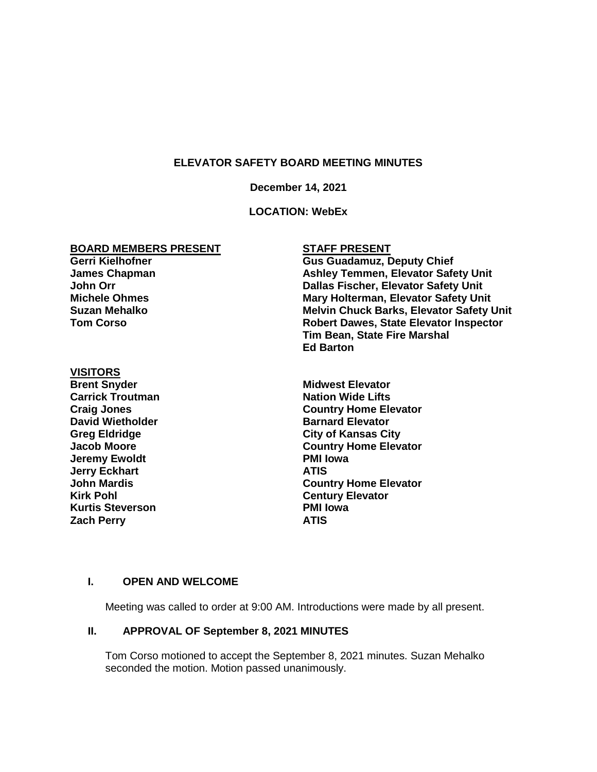## **ELEVATOR SAFETY BOARD MEETING MINUTES**

#### **December 14, 2021**

## **LOCATION: WebEx**

### **BOARD MEMBERS PRESENT**

## **Gerri Kielhofner James Chapman John Orr Michele Ohmes Suzan Mehalko Tom Corso**

#### **VISITORS**

**Brent Snyder Midwest Elevator Carrick Troutman Nation Wide Lifts David Wietholder Barnard Elevator Jeremy Ewoldt Jerry Eckhart ATIS Kirk Pohl Century Elevator Kurtis Steverson PMI Iowa Zach Perry ATIS**

# **STAFF PRESENT**

**Gus Guadamuz, Deputy Chief Ashley Temmen, Elevator Safety Unit Dallas Fischer, Elevator Safety Unit Mary Holterman, Elevator Safety Unit Melvin Chuck Barks, Elevator Safety Unit Robert Dawes, State Elevator Inspector Tim Bean, State Fire Marshal Ed Barton**

**Craig Jones Country Home Elevator Greg Eldridge City of Kansas City Jacob Moore Country Home Elevator John Mardis Country Home Elevator**

### **I. OPEN AND WELCOME**

Meeting was called to order at 9:00 AM. Introductions were made by all present.

### **II. APPROVAL OF September 8, 2021 MINUTES**

Tom Corso motioned to accept the September 8, 2021 minutes. Suzan Mehalko seconded the motion. Motion passed unanimously.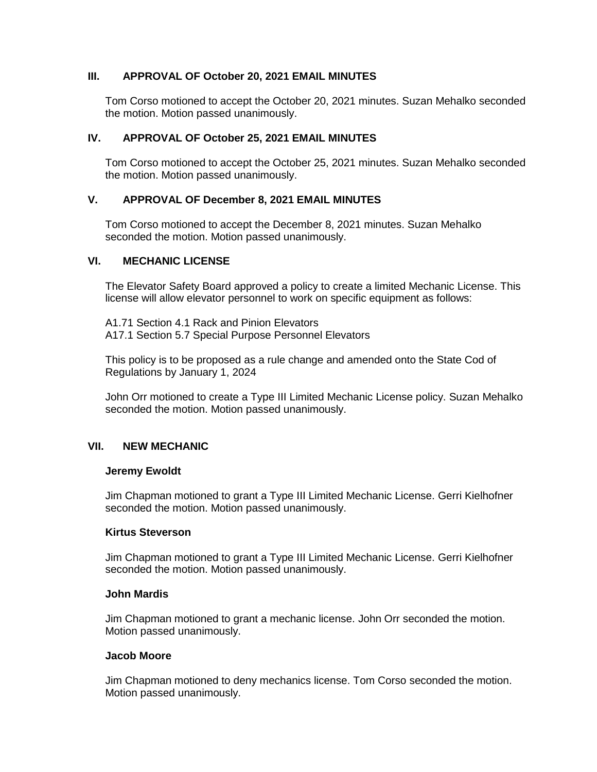## **III. APPROVAL OF October 20, 2021 EMAIL MINUTES**

Tom Corso motioned to accept the October 20, 2021 minutes. Suzan Mehalko seconded the motion. Motion passed unanimously.

## **IV. APPROVAL OF October 25, 2021 EMAIL MINUTES**

Tom Corso motioned to accept the October 25, 2021 minutes. Suzan Mehalko seconded the motion. Motion passed unanimously.

## **V. APPROVAL OF December 8, 2021 EMAIL MINUTES**

Tom Corso motioned to accept the December 8, 2021 minutes. Suzan Mehalko seconded the motion. Motion passed unanimously.

### **VI. MECHANIC LICENSE**

The Elevator Safety Board approved a policy to create a limited Mechanic License. This license will allow elevator personnel to work on specific equipment as follows:

A1.71 Section 4.1 Rack and Pinion Elevators A17.1 Section 5.7 Special Purpose Personnel Elevators

This policy is to be proposed as a rule change and amended onto the State Cod of Regulations by January 1, 2024

John Orr motioned to create a Type III Limited Mechanic License policy. Suzan Mehalko seconded the motion. Motion passed unanimously.

# **VII. NEW MECHANIC**

### **Jeremy Ewoldt**

Jim Chapman motioned to grant a Type III Limited Mechanic License. Gerri Kielhofner seconded the motion. Motion passed unanimously.

### **Kirtus Steverson**

Jim Chapman motioned to grant a Type III Limited Mechanic License. Gerri Kielhofner seconded the motion. Motion passed unanimously.

### **John Mardis**

Jim Chapman motioned to grant a mechanic license. John Orr seconded the motion. Motion passed unanimously.

### **Jacob Moore**

Jim Chapman motioned to deny mechanics license. Tom Corso seconded the motion. Motion passed unanimously.